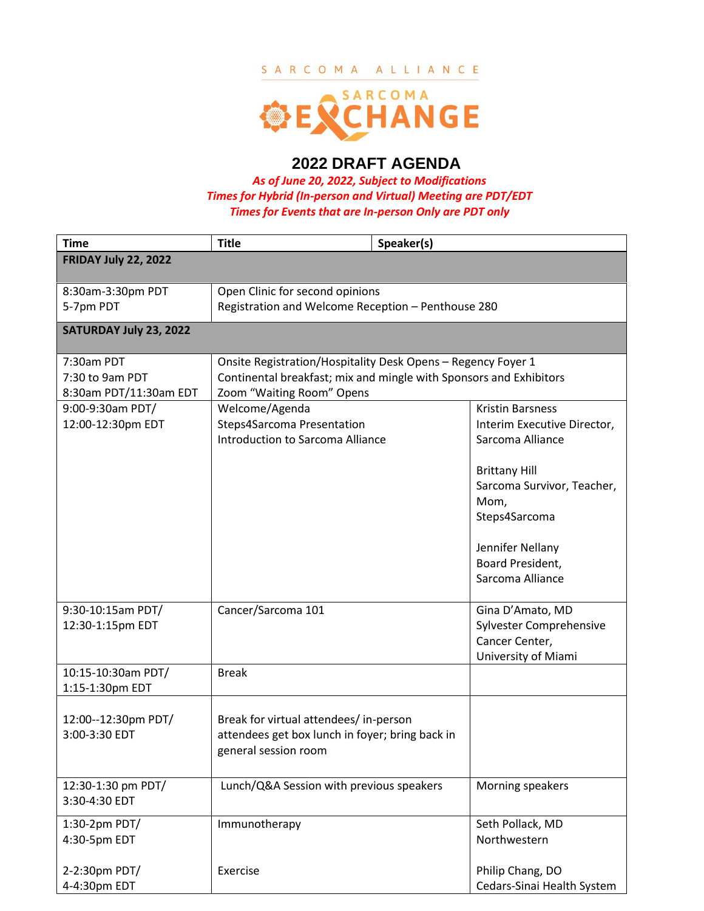### SARCOMA ALLIANCE



# **2022 DRAFT AGENDA**

*As of June 20, 2022, Subject to Modifications Times for Hybrid (In-person and Virtual) Meeting are PDT/EDT Times for Events that are In-person Only are PDT only*

| <b>Time</b>                                             | <b>Title</b>                                                                                                                                                    | Speaker(s)                                                                                                                       |  |  |
|---------------------------------------------------------|-----------------------------------------------------------------------------------------------------------------------------------------------------------------|----------------------------------------------------------------------------------------------------------------------------------|--|--|
| <b>FRIDAY July 22, 2022</b>                             |                                                                                                                                                                 |                                                                                                                                  |  |  |
| 8:30am-3:30pm PDT<br>5-7pm PDT                          | Open Clinic for second opinions<br>Registration and Welcome Reception - Penthouse 280                                                                           |                                                                                                                                  |  |  |
| SATURDAY July 23, 2022                                  |                                                                                                                                                                 |                                                                                                                                  |  |  |
| 7:30am PDT<br>7:30 to 9am PDT<br>8:30am PDT/11:30am EDT | Onsite Registration/Hospitality Desk Opens - Regency Foyer 1<br>Continental breakfast; mix and mingle with Sponsors and Exhibitors<br>Zoom "Waiting Room" Opens |                                                                                                                                  |  |  |
| 9:00-9:30am PDT/<br>12:00-12:30pm EDT                   | Welcome/Agenda<br>Steps4Sarcoma Presentation<br>Introduction to Sarcoma Alliance                                                                                | <b>Kristin Barsness</b><br>Interim Executive Director,<br>Sarcoma Alliance<br><b>Brittany Hill</b><br>Sarcoma Survivor, Teacher, |  |  |
|                                                         |                                                                                                                                                                 | Mom,<br>Steps4Sarcoma<br>Jennifer Nellany<br>Board President,                                                                    |  |  |
|                                                         |                                                                                                                                                                 | Sarcoma Alliance                                                                                                                 |  |  |
| 9:30-10:15am PDT/<br>12:30-1:15pm EDT                   | Cancer/Sarcoma 101                                                                                                                                              | Gina D'Amato, MD<br>Sylvester Comprehensive<br>Cancer Center,<br>University of Miami                                             |  |  |
| 10:15-10:30am PDT/<br>1:15-1:30pm EDT                   | <b>Break</b>                                                                                                                                                    |                                                                                                                                  |  |  |
| 12:00--12:30pm PDT/<br>3:00-3:30 EDT                    | Break for virtual attendees/ in-person<br>attendees get box lunch in foyer; bring back in<br>general session room                                               |                                                                                                                                  |  |  |
| 12:30-1:30 pm PDT/<br>3:30-4:30 EDT                     | Lunch/Q&A Session with previous speakers                                                                                                                        | Morning speakers                                                                                                                 |  |  |
| 1:30-2pm PDT/<br>4:30-5pm EDT                           | Immunotherapy                                                                                                                                                   | Seth Pollack, MD<br>Northwestern                                                                                                 |  |  |
| 2-2:30pm PDT/<br>4-4:30pm EDT                           | Exercise                                                                                                                                                        | Philip Chang, DO<br>Cedars-Sinai Health System                                                                                   |  |  |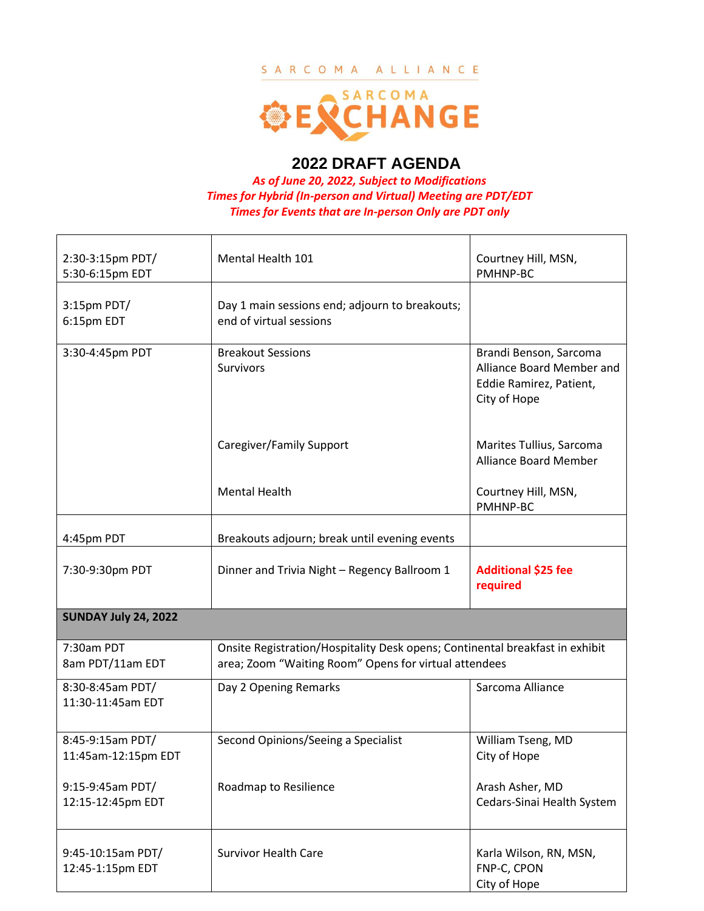### SARCOMA ALLIANCE



## **2022 DRAFT AGENDA**

*As of June 20, 2022, Subject to Modifications Times for Hybrid (In-person and Virtual) Meeting are PDT/EDT Times for Events that are In-person Only are PDT only*

| 2:30-3:15pm PDT/<br>5:30-6:15pm EDT     | Mental Health 101                                                                                                                     | Courtney Hill, MSN,<br>PMHNP-BC                                                                |  |  |
|-----------------------------------------|---------------------------------------------------------------------------------------------------------------------------------------|------------------------------------------------------------------------------------------------|--|--|
| 3:15pm PDT/<br>6:15pm EDT               | Day 1 main sessions end; adjourn to breakouts;<br>end of virtual sessions                                                             |                                                                                                |  |  |
| 3:30-4:45pm PDT                         | <b>Breakout Sessions</b><br>Survivors                                                                                                 | Brandi Benson, Sarcoma<br>Alliance Board Member and<br>Eddie Ramirez, Patient,<br>City of Hope |  |  |
|                                         | Caregiver/Family Support                                                                                                              | Marites Tullius, Sarcoma<br><b>Alliance Board Member</b>                                       |  |  |
|                                         | <b>Mental Health</b>                                                                                                                  | Courtney Hill, MSN,<br>PMHNP-BC                                                                |  |  |
| 4:45pm PDT                              | Breakouts adjourn; break until evening events                                                                                         |                                                                                                |  |  |
| 7:30-9:30pm PDT                         | Dinner and Trivia Night - Regency Ballroom 1                                                                                          | <b>Additional \$25 fee</b><br>required                                                         |  |  |
| <b>SUNDAY July 24, 2022</b>             |                                                                                                                                       |                                                                                                |  |  |
| 7:30am PDT<br>8am PDT/11am EDT          | Onsite Registration/Hospitality Desk opens; Continental breakfast in exhibit<br>area; Zoom "Waiting Room" Opens for virtual attendees |                                                                                                |  |  |
| 8:30-8:45am PDT/<br>11:30-11:45am EDT   | Day 2 Opening Remarks                                                                                                                 | Sarcoma Alliance                                                                               |  |  |
| 8:45-9:15am PDT/<br>11:45am-12:15pm EDT | Second Opinions/Seeing a Specialist                                                                                                   | William Tseng, MD<br>City of Hope                                                              |  |  |
| 9:15-9:45am PDT/<br>12:15-12:45pm EDT   | Roadmap to Resilience                                                                                                                 | Arash Asher, MD<br>Cedars-Sinai Health System                                                  |  |  |
| 9:45-10:15am PDT/<br>12:45-1:15pm EDT   | <b>Survivor Health Care</b>                                                                                                           | Karla Wilson, RN, MSN,<br>FNP-C, CPON<br>City of Hope                                          |  |  |